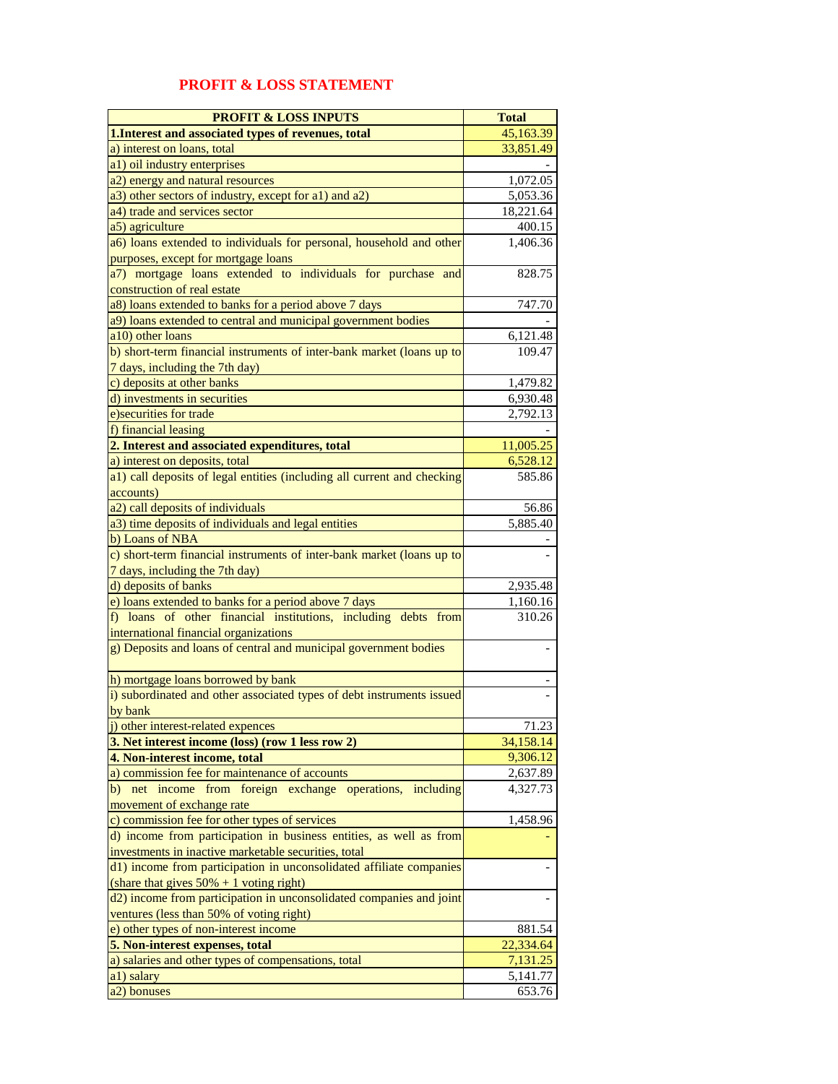## **PROFIT & LOSS STATEMENT**

| <b>PROFIT &amp; LOSS INPUTS</b>                                                                                   | <b>Total</b>       |
|-------------------------------------------------------------------------------------------------------------------|--------------------|
| 1. Interest and associated types of revenues, total                                                               | 45,163.39          |
| a) interest on loans, total                                                                                       | 33,851.49          |
| a1) oil industry enterprises                                                                                      |                    |
| a2) energy and natural resources                                                                                  | 1,072.05           |
| a3) other sectors of industry, except for a1) and a2)                                                             | 5,053.36           |
| a4) trade and services sector                                                                                     | 18,221.64          |
| a5) agriculture                                                                                                   | 400.15             |
| a6) loans extended to individuals for personal, household and other                                               | 1,406.36           |
| purposes, except for mortgage loans                                                                               |                    |
| a7) mortgage loans extended to individuals for purchase and                                                       | 828.75             |
| construction of real estate                                                                                       |                    |
| a8) loans extended to banks for a period above 7 days                                                             | 747.70             |
| a9) loans extended to central and municipal government bodies                                                     |                    |
| a10) other loans                                                                                                  | 6,121.48<br>109.47 |
| b) short-term financial instruments of inter-bank market (loans up to<br>7 days, including the 7th day)           |                    |
| c) deposits at other banks                                                                                        | 1,479.82           |
| d) investments in securities                                                                                      | 6,930.48           |
| e) securities for trade                                                                                           | 2,792.13           |
| f) financial leasing                                                                                              |                    |
| 2. Interest and associated expenditures, total                                                                    | 11,005.25          |
| a) interest on deposits, total                                                                                    | 6,528.12           |
| a1) call deposits of legal entities (including all current and checking                                           | 585.86             |
| accounts)                                                                                                         |                    |
| a2) call deposits of individuals                                                                                  | 56.86              |
| a3) time deposits of individuals and legal entities                                                               | 5,885.40           |
| b) Loans of NBA                                                                                                   |                    |
| c) short-term financial instruments of inter-bank market (loans up to                                             |                    |
| 7 days, including the 7th day)                                                                                    |                    |
| d) deposits of banks                                                                                              | 2,935.48           |
| e) loans extended to banks for a period above 7 days                                                              | 1,160.16           |
| f) loans of other financial institutions, including debts from                                                    | 310.26             |
| international financial organizations                                                                             |                    |
| g) Deposits and loans of central and municipal government bodies                                                  |                    |
| h) mortgage loans borrowed by bank                                                                                |                    |
| i) subordinated and other associated types of debt instruments issued                                             |                    |
| by bank                                                                                                           |                    |
| j) other interest-related expences                                                                                | 71.23              |
| 3. Net interest income (loss) (row 1 less row 2)                                                                  | 34,158.14          |
| 4. Non-interest income, total                                                                                     | 9,306.12           |
| a) commission fee for maintenance of accounts                                                                     | 2,637.89           |
| b) net income from foreign exchange operations, including                                                         | 4,327.73           |
| movement of exchange rate                                                                                         |                    |
| c) commission fee for other types of services                                                                     | 1,458.96           |
| d) income from participation in business entities, as well as from                                                |                    |
| investments in inactive marketable securities, total                                                              |                    |
| d1) income from participation in unconsolidated affiliate companies                                               |                    |
| (share that gives $50\% + 1$ voting right)<br>d2) income from participation in unconsolidated companies and joint |                    |
| ventures (less than 50% of voting right)                                                                          |                    |
| e) other types of non-interest income                                                                             | 881.54             |
| 5. Non-interest expenses, total                                                                                   | 22,334.64          |
| a) salaries and other types of compensations, total                                                               | 7,131.25           |
| a1) salary                                                                                                        | 5,141.77           |
| a <sub>2</sub> ) bonuses                                                                                          | 653.76             |